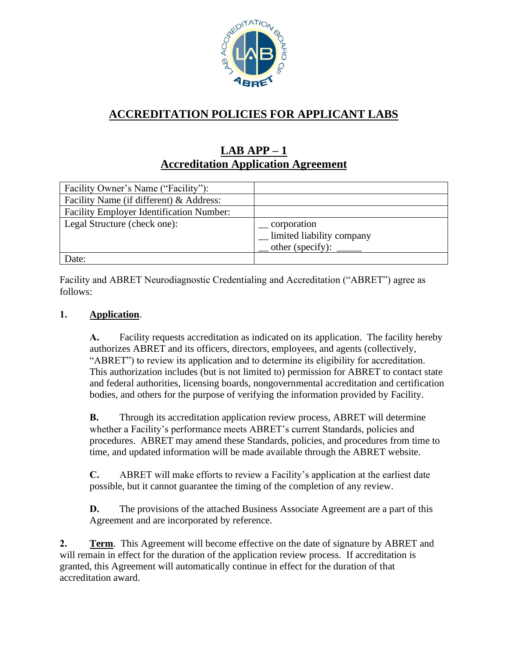

# **ACCREDITATION POLICIES FOR APPLICANT LABS**

## **LAB APP – 1 Accreditation Application Agreement**

| Facility Owner's Name ("Facility"):             |                           |
|-------------------------------------------------|---------------------------|
| Facility Name (if different) & Address:         |                           |
| <b>Facility Employer Identification Number:</b> |                           |
| Legal Structure (check one):                    | corporation               |
|                                                 | limited liability company |
|                                                 | other (specify):          |
| Date:                                           |                           |

Facility and ABRET Neurodiagnostic Credentialing and Accreditation ("ABRET") agree as follows:

### **1. Application**.

**A.** Facility requests accreditation as indicated on its application. The facility hereby authorizes ABRET and its officers, directors, employees, and agents (collectively, "ABRET") to review its application and to determine its eligibility for accreditation. This authorization includes (but is not limited to) permission for ABRET to contact state and federal authorities, licensing boards, nongovernmental accreditation and certification bodies, and others for the purpose of verifying the information provided by Facility.

**B.** Through its accreditation application review process, ABRET will determine whether a Facility's performance meets ABRET's current Standards, policies and procedures. ABRET may amend these Standards, policies, and procedures from time to time, and updated information will be made available through the ABRET website.

**C.** ABRET will make efforts to review a Facility's application at the earliest date possible, but it cannot guarantee the timing of the completion of any review.

**D.** The provisions of the attached Business Associate Agreement are a part of this Agreement and are incorporated by reference.

**2. Term**. This Agreement will become effective on the date of signature by ABRET and will remain in effect for the duration of the application review process. If accreditation is granted, this Agreement will automatically continue in effect for the duration of that accreditation award.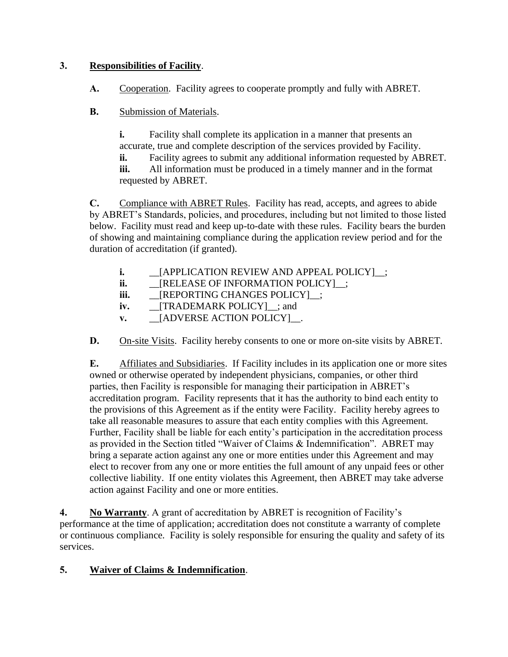### **3. Responsibilities of Facility**.

**A.** Cooperation. Facility agrees to cooperate promptly and fully with ABRET.

**B.** Submission of Materials.

**i.** Facility shall complete its application in a manner that presents an accurate, true and complete description of the services provided by Facility.

**ii.** Facility agrees to submit any additional information requested by ABRET.

**iii.** All information must be produced in a timely manner and in the format requested by ABRET.

**C.** Compliance with ABRET Rules. Facility has read, accepts, and agrees to abide by ABRET's Standards, policies, and procedures, including but not limited to those listed below. Facility must read and keep up-to-date with these rules. Facility bears the burden of showing and maintaining compliance during the application review period and for the duration of accreditation (if granted).

- **i.** \_\_\_\_[APPLICATION REVIEW AND APPEAL POLICY]\_\_;
- **ii.** \_\_[RELEASE OF INFORMATION POLICY]\_\_;
- **iii.** \_\_\_[REPORTING CHANGES POLICY]\_\_;
- **iv.** \_\_[TRADEMARK POLICY]\_\_; and
- **v.** \_\_[ADVERSE ACTION POLICY]\_\_.

**D.** On-site Visits. Facility hereby consents to one or more on-site visits by ABRET.

**E.** Affiliates and Subsidiaries. If Facility includes in its application one or more sites owned or otherwise operated by independent physicians, companies, or other third parties, then Facility is responsible for managing their participation in ABRET's accreditation program. Facility represents that it has the authority to bind each entity to the provisions of this Agreement as if the entity were Facility. Facility hereby agrees to take all reasonable measures to assure that each entity complies with this Agreement. Further, Facility shall be liable for each entity's participation in the accreditation process as provided in the Section titled "Waiver of Claims & Indemnification". ABRET may bring a separate action against any one or more entities under this Agreement and may elect to recover from any one or more entities the full amount of any unpaid fees or other collective liability. If one entity violates this Agreement, then ABRET may take adverse action against Facility and one or more entities.

**4. No Warranty**. A grant of accreditation by ABRET is recognition of Facility's performance at the time of application; accreditation does not constitute a warranty of complete or continuous compliance. Facility is solely responsible for ensuring the quality and safety of its services.

### **5. Waiver of Claims & Indemnification**.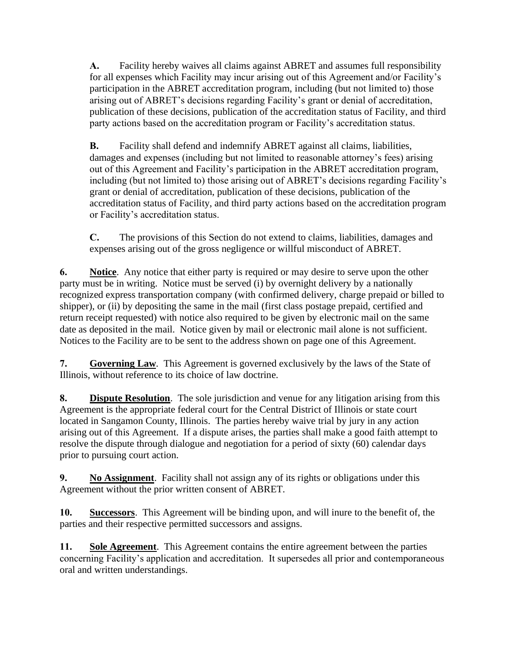**A.** Facility hereby waives all claims against ABRET and assumes full responsibility for all expenses which Facility may incur arising out of this Agreement and/or Facility's participation in the ABRET accreditation program, including (but not limited to) those arising out of ABRET's decisions regarding Facility's grant or denial of accreditation, publication of these decisions, publication of the accreditation status of Facility, and third party actions based on the accreditation program or Facility's accreditation status.

**B.** Facility shall defend and indemnify ABRET against all claims, liabilities, damages and expenses (including but not limited to reasonable attorney's fees) arising out of this Agreement and Facility's participation in the ABRET accreditation program, including (but not limited to) those arising out of ABRET's decisions regarding Facility's grant or denial of accreditation, publication of these decisions, publication of the accreditation status of Facility, and third party actions based on the accreditation program or Facility's accreditation status.

**C.** The provisions of this Section do not extend to claims, liabilities, damages and expenses arising out of the gross negligence or willful misconduct of ABRET.

**6. Notice**. Any notice that either party is required or may desire to serve upon the other party must be in writing. Notice must be served (i) by overnight delivery by a nationally recognized express transportation company (with confirmed delivery, charge prepaid or billed to shipper), or (ii) by depositing the same in the mail (first class postage prepaid, certified and return receipt requested) with notice also required to be given by electronic mail on the same date as deposited in the mail. Notice given by mail or electronic mail alone is not sufficient. Notices to the Facility are to be sent to the address shown on page one of this Agreement.

**7. Governing Law**. This Agreement is governed exclusively by the laws of the State of Illinois, without reference to its choice of law doctrine.

**8. Dispute Resolution**. The sole jurisdiction and venue for any litigation arising from this Agreement is the appropriate federal court for the Central District of Illinois or state court located in Sangamon County, Illinois. The parties hereby waive trial by jury in any action arising out of this Agreement. If a dispute arises, the parties shall make a good faith attempt to resolve the dispute through dialogue and negotiation for a period of sixty (60) calendar days prior to pursuing court action.

**9. No Assignment**. Facility shall not assign any of its rights or obligations under this Agreement without the prior written consent of ABRET.

**10. Successors**. This Agreement will be binding upon, and will inure to the benefit of, the parties and their respective permitted successors and assigns.

**11. Sole Agreement**. This Agreement contains the entire agreement between the parties concerning Facility's application and accreditation. It supersedes all prior and contemporaneous oral and written understandings.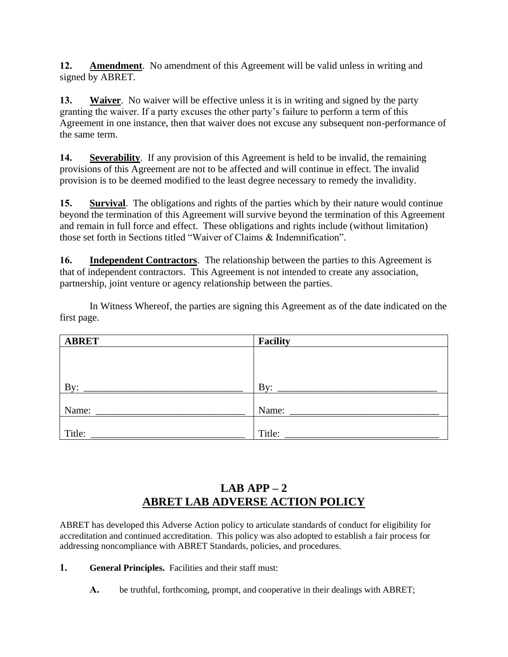**12. Amendment**. No amendment of this Agreement will be valid unless in writing and signed by ABRET.

**13. Waiver**. No waiver will be effective unless it is in writing and signed by the party granting the waiver. If a party excuses the other party's failure to perform a term of this Agreement in one instance, then that waiver does not excuse any subsequent non-performance of the same term.

**14. Severability**. If any provision of this Agreement is held to be invalid, the remaining provisions of this Agreement are not to be affected and will continue in effect. The invalid provision is to be deemed modified to the least degree necessary to remedy the invalidity.

**15. Survival**. The obligations and rights of the parties which by their nature would continue beyond the termination of this Agreement will survive beyond the termination of this Agreement and remain in full force and effect. These obligations and rights include (without limitation) those set forth in Sections titled "Waiver of Claims & Indemnification".

**16. Independent Contractors**. The relationship between the parties to this Agreement is that of independent contractors. This Agreement is not intended to create any association, partnership, joint venture or agency relationship between the parties.

In Witness Whereof, the parties are signing this Agreement as of the date indicated on the first page.

| <b>ABRET</b> | <b>Facility</b> |
|--------------|-----------------|
|              |                 |
|              |                 |
|              |                 |
| By:          | $\mathbf{B}v$ : |
|              |                 |
| Name:        | Name:           |
|              |                 |
| Title:       | Title:          |

# **LAB APP – 2 ABRET LAB ADVERSE ACTION POLICY**

ABRET has developed this Adverse Action policy to articulate standards of conduct for eligibility for accreditation and continued accreditation. This policy was also adopted to establish a fair process for addressing noncompliance with ABRET Standards, policies, and procedures.

**1. General Principles.** Facilities and their staff must:

**A.** be truthful, forthcoming, prompt, and cooperative in their dealings with ABRET;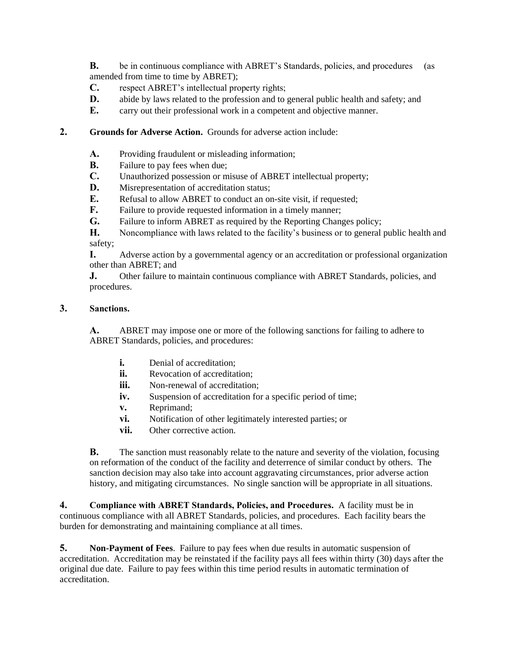**B.** be in continuous compliance with ABRET's Standards, policies, and procedures (as amended from time to time by ABRET);

**C.** respect ABRET's intellectual property rights;

- **D.** abide by laws related to the profession and to general public health and safety; and
- **E.** carry out their professional work in a competent and objective manner.

#### **2. Grounds for Adverse Action.** Grounds for adverse action include:

- **A.** Providing fraudulent or misleading information;
- **B.** Failure to pay fees when due;
- **C.** Unauthorized possession or misuse of ABRET intellectual property;
- **D.** Misrepresentation of accreditation status;
- **E.** Refusal to allow ABRET to conduct an on-site visit, if requested;
- **F.** Failure to provide requested information in a timely manner;
- **G.** Failure to inform ABRET as required by the Reporting Changes policy;

**H.** Noncompliance with laws related to the facility's business or to general public health and safety;

**I.** Adverse action by a governmental agency or an accreditation or professional organization other than ABRET; and

**J.** Other failure to maintain continuous compliance with ABRET Standards, policies, and procedures.

#### **3. Sanctions.**

**A.** ABRET may impose one or more of the following sanctions for failing to adhere to ABRET Standards, policies, and procedures:

- **i.** Denial of accreditation:
- **ii.** Revocation of accreditation:
- **iii.** Non-renewal of accreditation:
- **iv.** Suspension of accreditation for a specific period of time;
- **v.** Reprimand;
- **vi.** Notification of other legitimately interested parties; or
- **vii.** Other corrective action.

**B.** The sanction must reasonably relate to the nature and severity of the violation, focusing on reformation of the conduct of the facility and deterrence of similar conduct by others. The sanction decision may also take into account aggravating circumstances, prior adverse action history, and mitigating circumstances. No single sanction will be appropriate in all situations.

**4. Compliance with ABRET Standards, Policies, and Procedures.** A facility must be in continuous compliance with all ABRET Standards, policies, and procedures. Each facility bears the burden for demonstrating and maintaining compliance at all times.

**5. Non-Payment of Fees**. Failure to pay fees when due results in automatic suspension of accreditation. Accreditation may be reinstated if the facility pays all fees within thirty (30) days after the original due date. Failure to pay fees within this time period results in automatic termination of accreditation.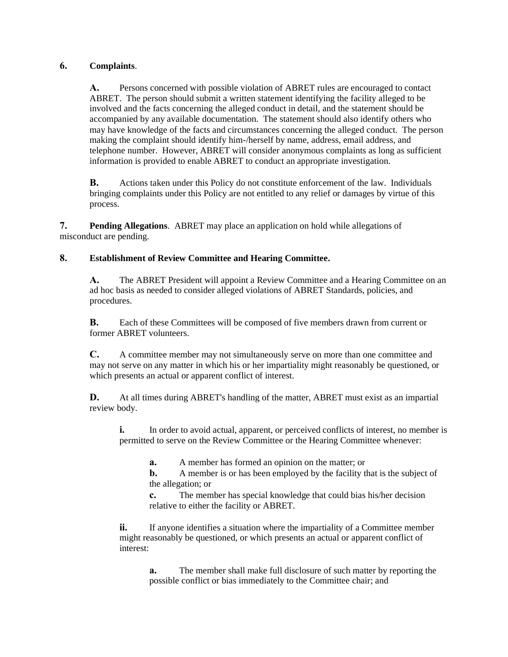#### **6. Complaints**.

**A.** Persons concerned with possible violation of ABRET rules are encouraged to contact ABRET. The person should submit a written statement identifying the facility alleged to be involved and the facts concerning the alleged conduct in detail, and the statement should be accompanied by any available documentation. The statement should also identify others who may have knowledge of the facts and circumstances concerning the alleged conduct. The person making the complaint should identify him-/herself by name, address, email address, and telephone number. However, ABRET will consider anonymous complaints as long as sufficient information is provided to enable ABRET to conduct an appropriate investigation.

**B.** Actions taken under this Policy do not constitute enforcement of the law. Individuals bringing complaints under this Policy are not entitled to any relief or damages by virtue of this process.

**7. Pending Allegations**. ABRET may place an application on hold while allegations of misconduct are pending.

#### **8. Establishment of Review Committee and Hearing Committee.**

**A.** The ABRET President will appoint a Review Committee and a Hearing Committee on an ad hoc basis as needed to consider alleged violations of ABRET Standards, policies, and procedures.

**B.** Each of these Committees will be composed of five members drawn from current or former ABRET volunteers.

**C.** A committee member may not simultaneously serve on more than one committee and may not serve on any matter in which his or her impartiality might reasonably be questioned, or which presents an actual or apparent conflict of interest.

**D.** At all times during ABRET's handling of the matter, ABRET must exist as an impartial review body.

**i.** In order to avoid actual, apparent, or perceived conflicts of interest, no member is permitted to serve on the Review Committee or the Hearing Committee whenever:

**a.** A member has formed an opinion on the matter; or

**b.** A member is or has been employed by the facility that is the subject of the allegation; or

**c.** The member has special knowledge that could bias his/her decision relative to either the facility or ABRET.

**ii.** If anyone identifies a situation where the impartiality of a Committee member might reasonably be questioned, or which presents an actual or apparent conflict of interest:

**a.** The member shall make full disclosure of such matter by reporting the possible conflict or bias immediately to the Committee chair; and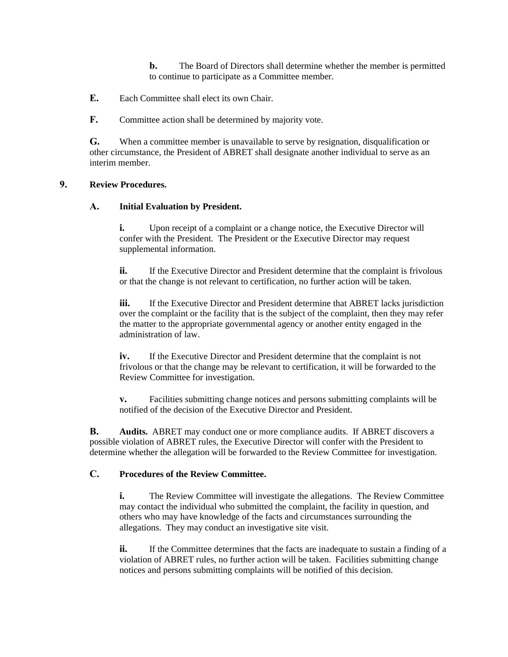**b.** The Board of Directors shall determine whether the member is permitted to continue to participate as a Committee member.

**E.** Each Committee shall elect its own Chair.

**F.** Committee action shall be determined by majority vote.

**G.** When a committee member is unavailable to serve by resignation, disqualification or other circumstance, the President of ABRET shall designate another individual to serve as an interim member.

#### **9. Review Procedures.**

#### **A. Initial Evaluation by President.**

**i.** Upon receipt of a complaint or a change notice, the Executive Director will confer with the President. The President or the Executive Director may request supplemental information.

**ii.** If the Executive Director and President determine that the complaint is frivolous or that the change is not relevant to certification, no further action will be taken.

**iii.** If the Executive Director and President determine that ABRET lacks jurisdiction over the complaint or the facility that is the subject of the complaint, then they may refer the matter to the appropriate governmental agency or another entity engaged in the administration of law.

**iv.** If the Executive Director and President determine that the complaint is not frivolous or that the change may be relevant to certification, it will be forwarded to the Review Committee for investigation.

**v.** Facilities submitting change notices and persons submitting complaints will be notified of the decision of the Executive Director and President.

**B. Audits.** ABRET may conduct one or more compliance audits. If ABRET discovers a possible violation of ABRET rules, the Executive Director will confer with the President to determine whether the allegation will be forwarded to the Review Committee for investigation.

#### **C. Procedures of the Review Committee.**

**i.** The Review Committee will investigate the allegations. The Review Committee may contact the individual who submitted the complaint, the facility in question, and others who may have knowledge of the facts and circumstances surrounding the allegations. They may conduct an investigative site visit.

**ii.** If the Committee determines that the facts are inadequate to sustain a finding of a violation of ABRET rules, no further action will be taken. Facilities submitting change notices and persons submitting complaints will be notified of this decision.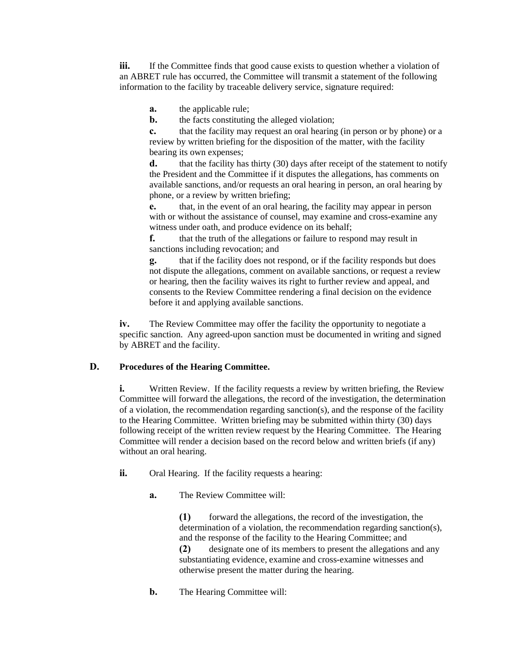**iii.** If the Committee finds that good cause exists to question whether a violation of an ABRET rule has occurred, the Committee will transmit a statement of the following information to the facility by traceable delivery service, signature required:

**a.** the applicable rule;

**b.** the facts constituting the alleged violation;

**c.** that the facility may request an oral hearing (in person or by phone) or a review by written briefing for the disposition of the matter, with the facility bearing its own expenses;

**d.** that the facility has thirty (30) days after receipt of the statement to notify the President and the Committee if it disputes the allegations, has comments on available sanctions, and/or requests an oral hearing in person, an oral hearing by phone, or a review by written briefing;

**e.** that, in the event of an oral hearing, the facility may appear in person with or without the assistance of counsel, may examine and cross-examine any witness under oath, and produce evidence on its behalf;

**f.** that the truth of the allegations or failure to respond may result in sanctions including revocation; and

**g.** that if the facility does not respond, or if the facility responds but does not dispute the allegations, comment on available sanctions, or request a review or hearing, then the facility waives its right to further review and appeal, and consents to the Review Committee rendering a final decision on the evidence before it and applying available sanctions.

**iv.** The Review Committee may offer the facility the opportunity to negotiate a specific sanction. Any agreed-upon sanction must be documented in writing and signed by ABRET and the facility.

#### **D. Procedures of the Hearing Committee.**

**i.** Written Review. If the facility requests a review by written briefing, the Review Committee will forward the allegations, the record of the investigation, the determination of a violation, the recommendation regarding sanction(s), and the response of the facility to the Hearing Committee. Written briefing may be submitted within thirty (30) days following receipt of the written review request by the Hearing Committee. The Hearing Committee will render a decision based on the record below and written briefs (if any) without an oral hearing.

- **ii.** Oral Hearing. If the facility requests a hearing:
	- **a.** The Review Committee will:

**(1)** forward the allegations, the record of the investigation, the determination of a violation, the recommendation regarding sanction(s), and the response of the facility to the Hearing Committee; and

**(2)** designate one of its members to present the allegations and any substantiating evidence, examine and cross-examine witnesses and otherwise present the matter during the hearing.

**b.** The Hearing Committee will: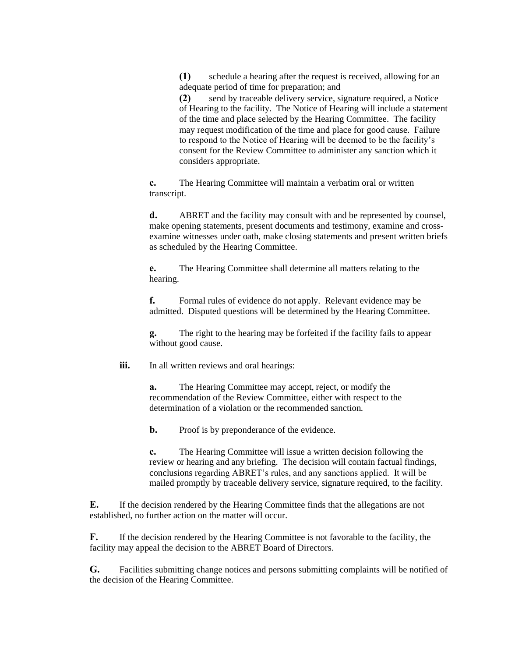**(1)** schedule a hearing after the request is received, allowing for an adequate period of time for preparation; and

**(2)** send by traceable delivery service, signature required, a Notice of Hearing to the facility. The Notice of Hearing will include a statement of the time and place selected by the Hearing Committee. The facility may request modification of the time and place for good cause. Failure to respond to the Notice of Hearing will be deemed to be the facility's consent for the Review Committee to administer any sanction which it considers appropriate.

**c.** The Hearing Committee will maintain a verbatim oral or written transcript.

**d.** ABRET and the facility may consult with and be represented by counsel, make opening statements, present documents and testimony, examine and crossexamine witnesses under oath, make closing statements and present written briefs as scheduled by the Hearing Committee.

**e.** The Hearing Committee shall determine all matters relating to the hearing.

**f.** Formal rules of evidence do not apply. Relevant evidence may be admitted. Disputed questions will be determined by the Hearing Committee.

**g.** The right to the hearing may be forfeited if the facility fails to appear without good cause.

**iii.** In all written reviews and oral hearings:

**a.** The Hearing Committee may accept, reject, or modify the recommendation of the Review Committee, either with respect to the determination of a violation or the recommended sanction.

**b.** Proof is by preponderance of the evidence.

**c.** The Hearing Committee will issue a written decision following the review or hearing and any briefing. The decision will contain factual findings, conclusions regarding ABRET's rules, and any sanctions applied. It will be mailed promptly by traceable delivery service, signature required, to the facility.

**E.** If the decision rendered by the Hearing Committee finds that the allegations are not established, no further action on the matter will occur.

**F.** If the decision rendered by the Hearing Committee is not favorable to the facility, the facility may appeal the decision to the ABRET Board of Directors.

**G.** Facilities submitting change notices and persons submitting complaints will be notified of the decision of the Hearing Committee.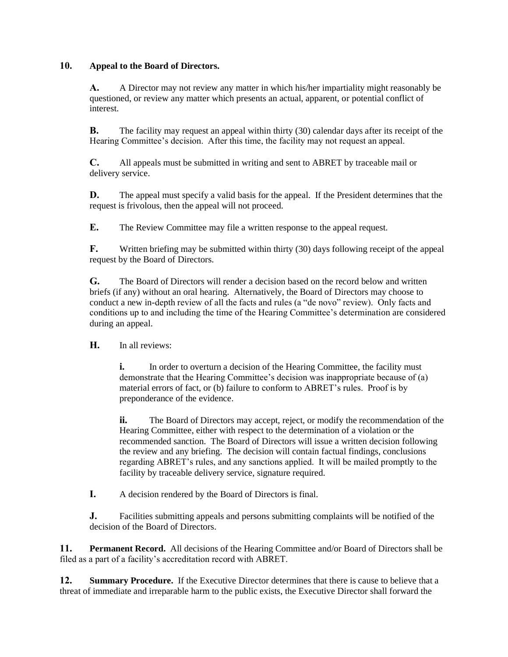#### **10. Appeal to the Board of Directors.**

**A.** A Director may not review any matter in which his/her impartiality might reasonably be questioned, or review any matter which presents an actual, apparent, or potential conflict of interest.

**B.** The facility may request an appeal within thirty (30) calendar days after its receipt of the Hearing Committee's decision. After this time, the facility may not request an appeal.

**C.** All appeals must be submitted in writing and sent to ABRET by traceable mail or delivery service.

**D.** The appeal must specify a valid basis for the appeal. If the President determines that the request is frivolous, then the appeal will not proceed.

**E.** The Review Committee may file a written response to the appeal request.

**F.** Written briefing may be submitted within thirty (30) days following receipt of the appeal request by the Board of Directors.

**G.** The Board of Directors will render a decision based on the record below and written briefs (if any) without an oral hearing. Alternatively, the Board of Directors may choose to conduct a new in-depth review of all the facts and rules (a "de novo" review). Only facts and conditions up to and including the time of the Hearing Committee's determination are considered during an appeal.

**H.** In all reviews:

**i.** In order to overturn a decision of the Hearing Committee, the facility must demonstrate that the Hearing Committee's decision was inappropriate because of (a) material errors of fact, or (b) failure to conform to ABRET's rules. Proof is by preponderance of the evidence.

**ii.** The Board of Directors may accept, reject, or modify the recommendation of the Hearing Committee, either with respect to the determination of a violation or the recommended sanction. The Board of Directors will issue a written decision following the review and any briefing. The decision will contain factual findings, conclusions regarding ABRET's rules, and any sanctions applied. It will be mailed promptly to the facility by traceable delivery service, signature required.

**I.** A decision rendered by the Board of Directors is final.

**J.** Facilities submitting appeals and persons submitting complaints will be notified of the decision of the Board of Directors.

**11. Permanent Record.** All decisions of the Hearing Committee and/or Board of Directors shall be filed as a part of a facility's accreditation record with ABRET.

**12. Summary Procedure.** If the Executive Director determines that there is cause to believe that a threat of immediate and irreparable harm to the public exists, the Executive Director shall forward the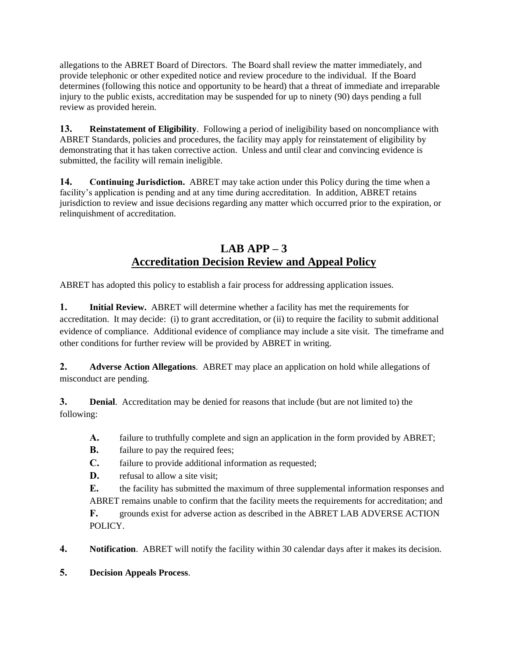allegations to the ABRET Board of Directors. The Board shall review the matter immediately, and provide telephonic or other expedited notice and review procedure to the individual. If the Board determines (following this notice and opportunity to be heard) that a threat of immediate and irreparable injury to the public exists, accreditation may be suspended for up to ninety (90) days pending a full review as provided herein.

**13. Reinstatement of Eligibility**. Following a period of ineligibility based on noncompliance with ABRET Standards, policies and procedures, the facility may apply for reinstatement of eligibility by demonstrating that it has taken corrective action. Unless and until clear and convincing evidence is submitted, the facility will remain ineligible.

**14. Continuing Jurisdiction.** ABRET may take action under this Policy during the time when a facility's application is pending and at any time during accreditation. In addition, ABRET retains jurisdiction to review and issue decisions regarding any matter which occurred prior to the expiration, or relinquishment of accreditation.

## **LAB APP – 3 Accreditation Decision Review and Appeal Policy**

ABRET has adopted this policy to establish a fair process for addressing application issues.

**1. Initial Review.** ABRET will determine whether a facility has met the requirements for accreditation. It may decide: (i) to grant accreditation, or (ii) to require the facility to submit additional evidence of compliance. Additional evidence of compliance may include a site visit. The timeframe and other conditions for further review will be provided by ABRET in writing.

**2. Adverse Action Allegations**. ABRET may place an application on hold while allegations of misconduct are pending.

**3. Denial**. Accreditation may be denied for reasons that include (but are not limited to) the following:

- **A.** failure to truthfully complete and sign an application in the form provided by ABRET;
- **B.** failure to pay the required fees;
- **C.** failure to provide additional information as requested;
- **D.** refusal to allow a site visit:
- **E.** the facility has submitted the maximum of three supplemental information responses and ABRET remains unable to confirm that the facility meets the requirements for accreditation; and
- **F.** grounds exist for adverse action as described in the ABRET LAB ADVERSE ACTION POLICY.

**4. Notification**. ABRET will notify the facility within 30 calendar days after it makes its decision.

**5. Decision Appeals Process**.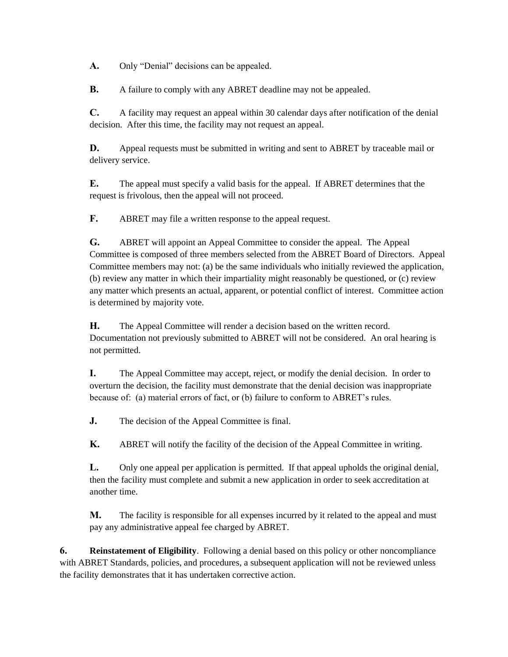**A.** Only "Denial" decisions can be appealed.

**B.** A failure to comply with any ABRET deadline may not be appealed.

**C.** A facility may request an appeal within 30 calendar days after notification of the denial decision. After this time, the facility may not request an appeal.

**D.** Appeal requests must be submitted in writing and sent to ABRET by traceable mail or delivery service.

**E.** The appeal must specify a valid basis for the appeal. If ABRET determines that the request is frivolous, then the appeal will not proceed.

**F.** ABRET may file a written response to the appeal request.

**G.** ABRET will appoint an Appeal Committee to consider the appeal. The Appeal Committee is composed of three members selected from the ABRET Board of Directors. Appeal Committee members may not: (a) be the same individuals who initially reviewed the application, (b) review any matter in which their impartiality might reasonably be questioned, or (c) review any matter which presents an actual, apparent, or potential conflict of interest. Committee action is determined by majority vote.

**H.** The Appeal Committee will render a decision based on the written record. Documentation not previously submitted to ABRET will not be considered. An oral hearing is not permitted.

**I.** The Appeal Committee may accept, reject, or modify the denial decision. In order to overturn the decision, the facility must demonstrate that the denial decision was inappropriate because of: (a) material errors of fact, or (b) failure to conform to ABRET's rules.

**J.** The decision of the Appeal Committee is final.

**K.** ABRET will notify the facility of the decision of the Appeal Committee in writing.

**L.** Only one appeal per application is permitted. If that appeal upholds the original denial, then the facility must complete and submit a new application in order to seek accreditation at another time.

**M.** The facility is responsible for all expenses incurred by it related to the appeal and must pay any administrative appeal fee charged by ABRET.

**6. Reinstatement of Eligibility**. Following a denial based on this policy or other noncompliance with ABRET Standards, policies, and procedures, a subsequent application will not be reviewed unless the facility demonstrates that it has undertaken corrective action.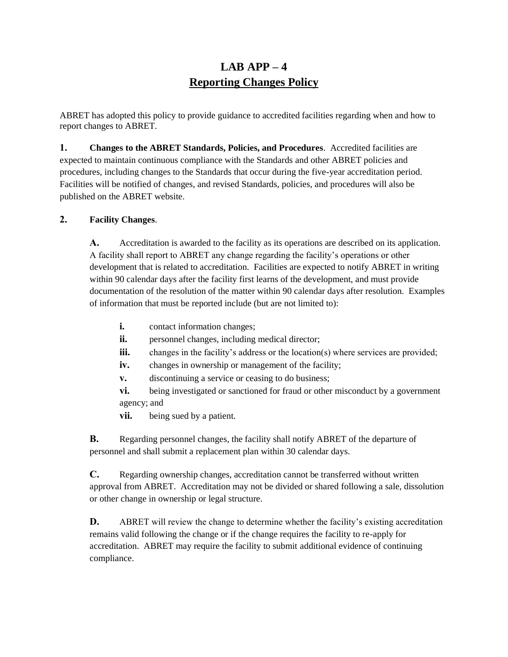## **LAB APP – 4 Reporting Changes Policy**

ABRET has adopted this policy to provide guidance to accredited facilities regarding when and how to report changes to ABRET.

**1. Changes to the ABRET Standards, Policies, and Procedures**. Accredited facilities are expected to maintain continuous compliance with the Standards and other ABRET policies and procedures, including changes to the Standards that occur during the five-year accreditation period. Facilities will be notified of changes, and revised Standards, policies, and procedures will also be published on the ABRET website.

#### **2. Facility Changes**.

**A.** Accreditation is awarded to the facility as its operations are described on its application. A facility shall report to ABRET any change regarding the facility's operations or other development that is related to accreditation. Facilities are expected to notify ABRET in writing within 90 calendar days after the facility first learns of the development, and must provide documentation of the resolution of the matter within 90 calendar days after resolution. Examples of information that must be reported include (but are not limited to):

- **i.** contact information changes;
- **ii.** personnel changes, including medical director;
- **iii.** changes in the facility's address or the location(s) where services are provided;
- iv. changes in ownership or management of the facility;
- **v.** discontinuing a service or ceasing to do business;
- **vi.** being investigated or sanctioned for fraud or other misconduct by a government agency; and
- **vii.** being sued by a patient.

**B.** Regarding personnel changes, the facility shall notify ABRET of the departure of personnel and shall submit a replacement plan within 30 calendar days.

**C.** Regarding ownership changes, accreditation cannot be transferred without written approval from ABRET. Accreditation may not be divided or shared following a sale, dissolution or other change in ownership or legal structure.

**D.** ABRET will review the change to determine whether the facility's existing accreditation remains valid following the change or if the change requires the facility to re-apply for accreditation. ABRET may require the facility to submit additional evidence of continuing compliance.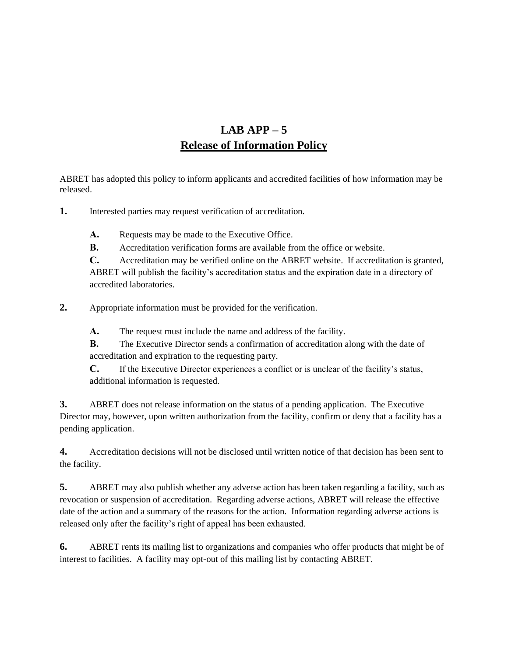# **LAB APP – 5 Release of Information Policy**

ABRET has adopted this policy to inform applicants and accredited facilities of how information may be released.

**1.** Interested parties may request verification of accreditation.

A. Requests may be made to the Executive Office.

**B.** Accreditation verification forms are available from the office or website.

**C.** Accreditation may be verified online on the ABRET website. If accreditation is granted, ABRET will publish the facility's accreditation status and the expiration date in a directory of accredited laboratories.

**2.** Appropriate information must be provided for the verification.

**A.** The request must include the name and address of the facility.

**B.** The Executive Director sends a confirmation of accreditation along with the date of accreditation and expiration to the requesting party.

**C.** If the Executive Director experiences a conflict or is unclear of the facility's status, additional information is requested.

**3.** ABRET does not release information on the status of a pending application. The Executive Director may, however, upon written authorization from the facility, confirm or deny that a facility has a pending application.

**4.** Accreditation decisions will not be disclosed until written notice of that decision has been sent to the facility.

**5.** ABRET may also publish whether any adverse action has been taken regarding a facility, such as revocation or suspension of accreditation. Regarding adverse actions, ABRET will release the effective date of the action and a summary of the reasons for the action. Information regarding adverse actions is released only after the facility's right of appeal has been exhausted.

**6.** ABRET rents its mailing list to organizations and companies who offer products that might be of interest to facilities. A facility may opt-out of this mailing list by contacting ABRET.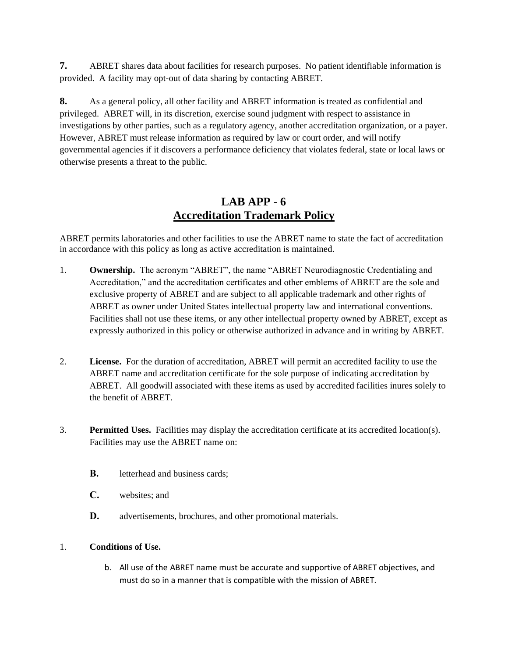**7.** ABRET shares data about facilities for research purposes. No patient identifiable information is provided. A facility may opt-out of data sharing by contacting ABRET.

**8.** As a general policy, all other facility and ABRET information is treated as confidential and privileged. ABRET will, in its discretion, exercise sound judgment with respect to assistance in investigations by other parties, such as a regulatory agency, another accreditation organization, or a payer. However, ABRET must release information as required by law or court order, and will notify governmental agencies if it discovers a performance deficiency that violates federal, state or local laws or otherwise presents a threat to the public.

## **LAB APP - 6 Accreditation Trademark Policy**

ABRET permits laboratories and other facilities to use the ABRET name to state the fact of accreditation in accordance with this policy as long as active accreditation is maintained.

- 1. **Ownership.** The acronym "ABRET", the name "ABRET Neurodiagnostic Credentialing and Accreditation," and the accreditation certificates and other emblems of ABRET are the sole and exclusive property of ABRET and are subject to all applicable trademark and other rights of ABRET as owner under United States intellectual property law and international conventions. Facilities shall not use these items, or any other intellectual property owned by ABRET, except as expressly authorized in this policy or otherwise authorized in advance and in writing by ABRET.
- 2. **License.** For the duration of accreditation, ABRET will permit an accredited facility to use the ABRET name and accreditation certificate for the sole purpose of indicating accreditation by ABRET. All goodwill associated with these items as used by accredited facilities inures solely to the benefit of ABRET.
- 3. **Permitted Uses.** Facilities may display the accreditation certificate at its accredited location(s). Facilities may use the ABRET name on:
	- **B.** letterhead and business cards;
	- **C.** websites; and
	- **D.** advertisements, brochures, and other promotional materials.

#### 1. **Conditions of Use.**

b. All use of the ABRET name must be accurate and supportive of ABRET objectives, and must do so in a manner that is compatible with the mission of ABRET.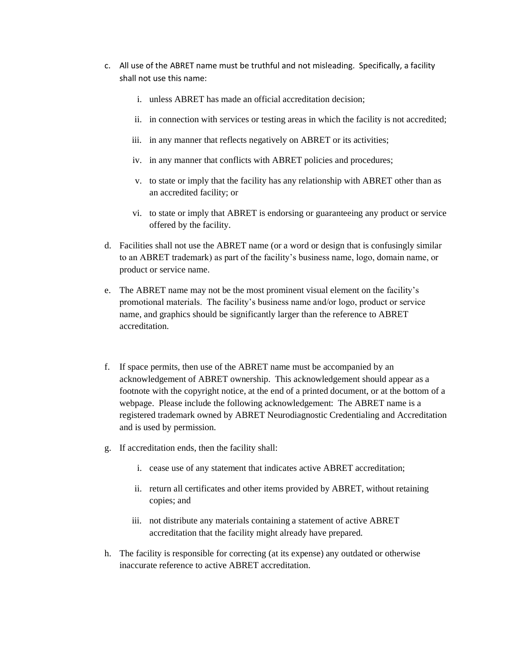- c. All use of the ABRET name must be truthful and not misleading. Specifically, a facility shall not use this name:
	- i. unless ABRET has made an official accreditation decision;
	- ii. in connection with services or testing areas in which the facility is not accredited;
	- iii. in any manner that reflects negatively on ABRET or its activities;
	- iv. in any manner that conflicts with ABRET policies and procedures;
	- v. to state or imply that the facility has any relationship with ABRET other than as an accredited facility; or
	- vi. to state or imply that ABRET is endorsing or guaranteeing any product or service offered by the facility.
- d. Facilities shall not use the ABRET name (or a word or design that is confusingly similar to an ABRET trademark) as part of the facility's business name, logo, domain name, or product or service name.
- e. The ABRET name may not be the most prominent visual element on the facility's promotional materials. The facility's business name and/or logo, product or service name, and graphics should be significantly larger than the reference to ABRET accreditation.
- f. If space permits, then use of the ABRET name must be accompanied by an acknowledgement of ABRET ownership. This acknowledgement should appear as a footnote with the copyright notice, at the end of a printed document, or at the bottom of a webpage. Please include the following acknowledgement: The ABRET name is a registered trademark owned by ABRET Neurodiagnostic Credentialing and Accreditation and is used by permission.
- g. If accreditation ends, then the facility shall:
	- i. cease use of any statement that indicates active ABRET accreditation;
	- ii. return all certificates and other items provided by ABRET, without retaining copies; and
	- iii. not distribute any materials containing a statement of active ABRET accreditation that the facility might already have prepared.
- h. The facility is responsible for correcting (at its expense) any outdated or otherwise inaccurate reference to active ABRET accreditation.